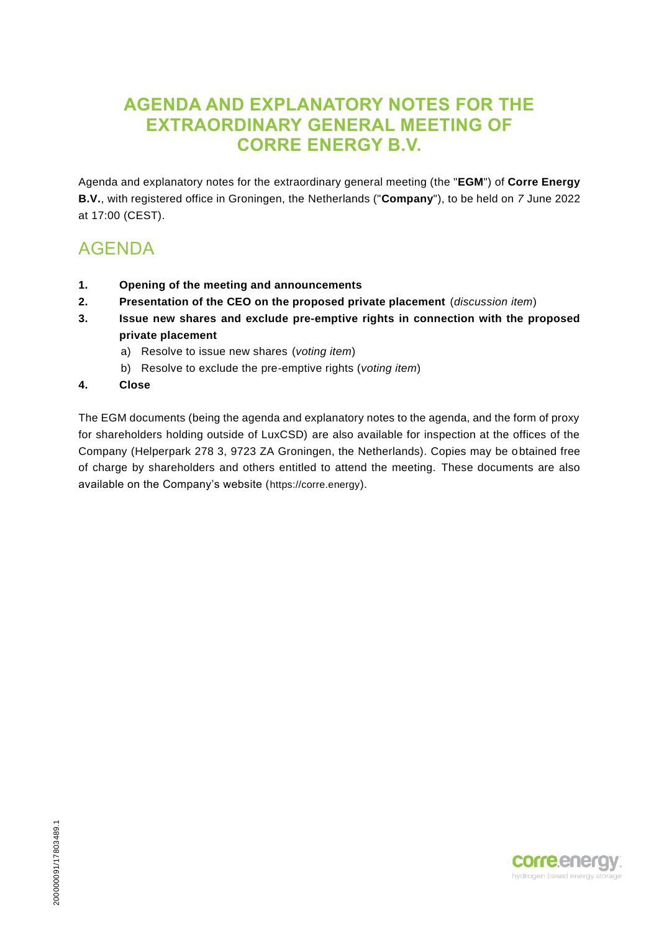### **AGENDA AND EXPLANATORY NOTES FOR THE EXTRAORDINARY GENERAL MEETING OF CORRE ENERGY B.V.**

Agenda and explanatory notes for the extraordinary general meeting (the "**EGM**") of **Corre Energy B.V.**, with registered office in Groningen, the Netherlands ("**Company**"), to be held on *7* June 2022 at 17:00 (CEST).

## AGENDA

- **1. Opening of the meeting and announcements**
- **2. Presentation of the CEO on the proposed private placement** (*discussion item*)
- **3. Issue new shares and exclude pre-emptive rights in connection with the proposed private placement**
	- a) Resolve to issue new shares (*voting item*)
	- b) Resolve to exclude the pre-emptive rights (*voting item*)
- **4. Close**

The EGM documents (being the agenda and explanatory notes to the agenda, and the form of proxy for shareholders holding outside of LuxCSD) are also available for inspection at the offices of the Company (Helperpark 278 3, 9723 ZA Groningen, the Netherlands). Copies may be obtained free of charge by shareholders and others entitled to attend the meeting. These documents are also available on the Company's website (https://corre.energy).

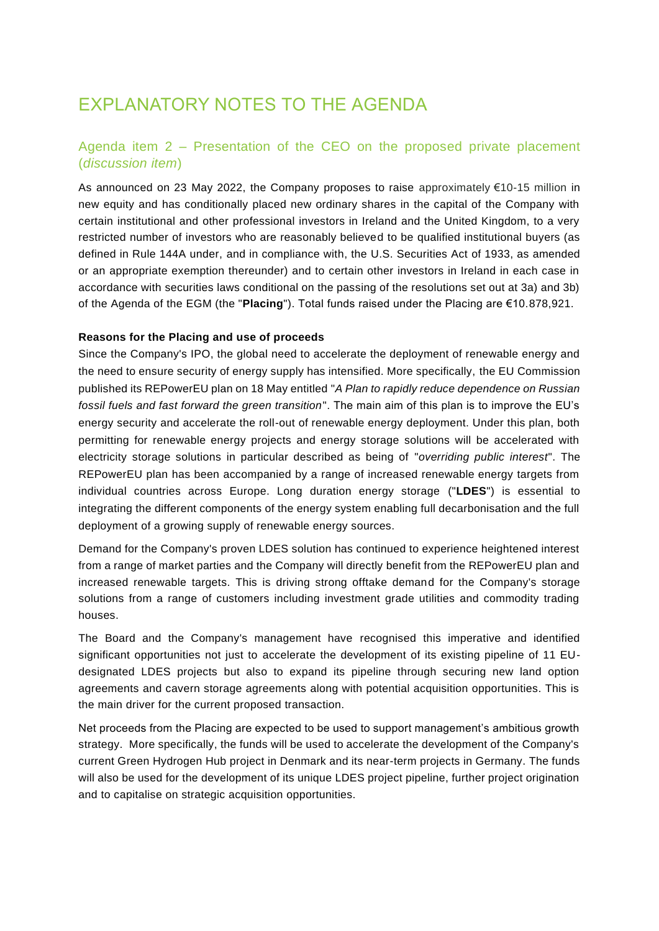# EXPLANATORY NOTES TO THE AGENDA

### Agenda item 2 – Presentation of the CEO on the proposed private placement (*discussion item*)

As announced on 23 May 2022, the Company proposes to raise approximately €10-15 million in new equity and has conditionally placed new ordinary shares in the capital of the Company with certain institutional and other professional investors in Ireland and the United Kingdom, to a very restricted number of investors who are reasonably believed to be qualified institutional buyers (as defined in Rule 144A under, and in compliance with, the U.S. Securities Act of 1933, as amended or an appropriate exemption thereunder) and to certain other investors in Ireland in each case in accordance with securities laws conditional on the passing of the resolutions set out at 3a) and 3b) of the Agenda of the EGM (the "**Placing**"). Total funds raised under the Placing are €10.878,921.

#### **Reasons for the Placing and use of proceeds**

Since the Company's IPO, the global need to accelerate the deployment of renewable energy and the need to ensure security of energy supply has intensified. More specifically, the EU Commission published its REPowerEU plan on 18 May entitled "*A Plan to rapidly reduce dependence on Russian fossil fuels and fast forward the green transition*". The main aim of this plan is to improve the EU's energy security and accelerate the roll-out of renewable energy deployment. Under this plan, both permitting for renewable energy projects and energy storage solutions will be accelerated with electricity storage solutions in particular described as being of "*overriding public interest*". The REPowerEU plan has been accompanied by a range of increased renewable energy targets from individual countries across Europe. Long duration energy storage ("**LDES**") is essential to integrating the different components of the energy system enabling full decarbonisation and the full deployment of a growing supply of renewable energy sources.

Demand for the Company's proven LDES solution has continued to experience heightened interest from a range of market parties and the Company will directly benefit from the REPowerEU plan and increased renewable targets. This is driving strong offtake demand for the Company's storage solutions from a range of customers including investment grade utilities and commodity trading houses.

The Board and the Company's management have recognised this imperative and identified significant opportunities not just to accelerate the development of its existing pipeline of 11 EUdesignated LDES projects but also to expand its pipeline through securing new land option agreements and cavern storage agreements along with potential acquisition opportunities. This is the main driver for the current proposed transaction.

Net proceeds from the Placing are expected to be used to support management's ambitious growth strategy. More specifically, the funds will be used to accelerate the development of the Company's current Green Hydrogen Hub project in Denmark and its near-term projects in Germany. The funds will also be used for the development of its unique LDES project pipeline, further project origination and to capitalise on strategic acquisition opportunities.